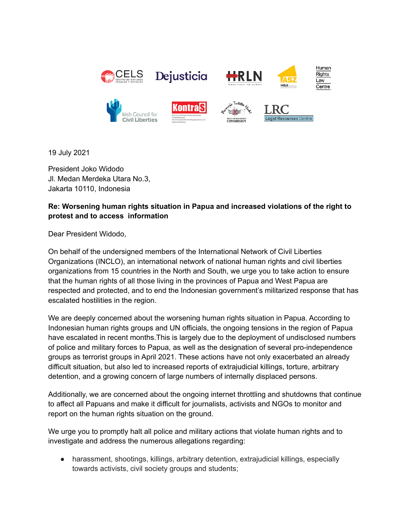

19 July 2021

President Joko Widodo Jl. Medan Merdeka Utara No.3, Jakarta 10110, Indonesia

## **Re: Worsening human rights situation in Papua and increased violations of the right to protest and to access information**

Dear President Widodo,

On behalf of the undersigned members of the International Network of Civil Liberties Organizations (INCLO), an international network of national human rights and civil liberties organizations from 15 countries in the North and South, we urge you to take action to ensure that the human rights of all those living in the provinces of Papua and West Papua are respected and protected, and to end the Indonesian government's militarized response that has escalated hostilities in the region.

We are deeply concerned about the worsening human rights situation in Papua. According to Indonesian human rights groups and UN officials, the ongoing tensions in the region of Papua have escalated in recent months.This is largely due to the deployment of undisclosed numbers of police and military forces to Papua, as well as the designation of several pro-independence groups as terrorist groups in April 2021. These actions have not only exacerbated an already difficult situation, but also led to increased reports of extrajudicial killings, torture, arbitrary detention, and a growing concern of large numbers of internally displaced persons.

Additionally, we are concerned about the ongoing internet throttling and shutdowns that continue to affect all Papuans and make it difficult for journalists, activists and NGOs to monitor and report on the human rights situation on the ground.

We urge you to promptly halt all police and military actions that violate human rights and to investigate and address the numerous allegations regarding:

• harassment, shootings, killings, arbitrary detention, extrajudicial killings, especially towards activists, civil society groups and students;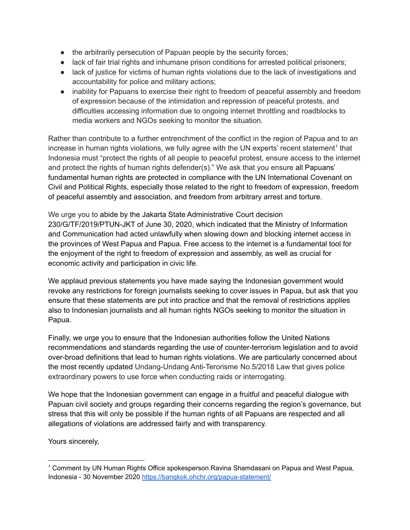- the arbitrarily persecution of Papuan people by the security forces;
- lack of fair trial rights and inhumane prison conditions for arrested political prisoners;
- lack of justice for victims of human rights violations due to the lack of investigations and accountability for police and military actions;
- inability for Papuans to exercise their right to freedom of peaceful assembly and freedom of expression because of the intimidation and repression of peaceful protests, and difficulties accessing information due to ongoing internet throttling and roadblocks to media workers and NGOs seeking to monitor the situation.

Rather than contribute to a further entrenchment of the conflict in the region of Papua and to an increase in human rights violations, we fully agree with the UN experts' recent statement<sup>1</sup> that Indonesia must "protect the rights of all people to peaceful protest, ensure access to the internet and protect the rights of human rights defender(s)." We ask that you ensure all Papuans' fundamental human rights are protected in compliance with the UN International Covenant on Civil and Political Rights, especially those related to the right to freedom of expression, freedom of peaceful assembly and association, and freedom from arbitrary arrest and torture.

We urge you to abide by the Jakarta State Administrative Court decision 230/G/TF/2019/PTUN-JKT of June 30, 2020, which indicated that the Ministry of Information and Communication had acted unlawfully when slowing down and blocking internet access in the provinces of West Papua and Papua. Free access to the internet is a fundamental tool for the enjoyment of the right to freedom of expression and assembly, as well as crucial for economic activity and participation in civic life.

We applaud previous statements you have made saying the Indonesian government would revoke any restrictions for foreign journalists seeking to cover issues in Papua, but ask that you ensure that these statements are put into practice and that the removal of restrictions applies also to Indonesian journalists and all human rights NGOs seeking to monitor the situation in Papua.

Finally, we urge you to ensure that the Indonesian authorities follow the United Nations recommendations and standards regarding the use of counter-terrorism legislation and to avoid over-broad definitions that lead to human rights violations. We are particularly concerned about the most recently updated Undang-Undang Anti-Terorisme No.5/2018 Law that gives police extraordinary powers to use force when conducting raids or interrogating.

We hope that the Indonesian government can engage in a fruitful and peaceful dialogue with Papuan civil society and groups regarding their concerns regarding the region's governance, but stress that this will only be possible if the human rights of all Papuans are respected and all allegations of violations are addressed fairly and with transparency.

Yours sincerely,

<sup>1</sup> Comment by UN Human Rights Office [spokesperson](https://bangkok.ohchr.org/papua-statement/) Ravina Shamdasani on Papua and West Papua, [Indonesia](https://bangkok.ohchr.org/papua-statement/) - 30 November 2020 <https://bangkok.ohchr.org/papua-statement/>